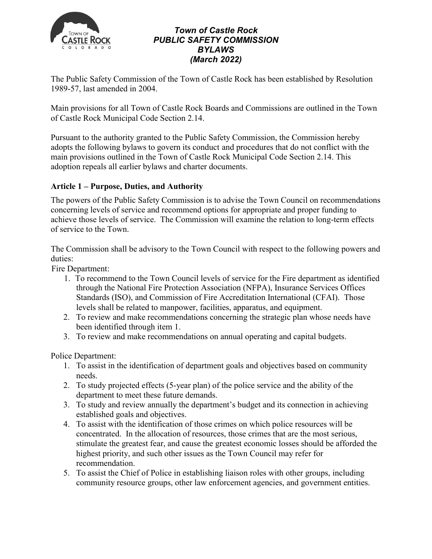

## *Town of Castle Rock PUBLIC SAFETY COMMISSION BYLAWS (March 2022)*

The Public Safety Commission of the Town of Castle Rock has been established by Resolution 1989-57, last amended in 2004.

Main provisions for all Town of Castle Rock Boards and Commissions are outlined in the Town of Castle Rock Municipal Code Section 2.14.

Pursuant to the authority granted to the Public Safety Commission, the Commission hereby adopts the following bylaws to govern its conduct and procedures that do not conflict with the main provisions outlined in the Town of Castle Rock Municipal Code Section 2.14. This adoption repeals all earlier bylaws and charter documents.

## **Article 1 – Purpose, Duties, and Authority**

The powers of the Public Safety Commission is to advise the Town Council on recommendations concerning levels of service and recommend options for appropriate and proper funding to achieve those levels of service. The Commission will examine the relation to long-term effects of service to the Town.

The Commission shall be advisory to the Town Council with respect to the following powers and duties:

Fire Department:

- 1. To recommend to the Town Council levels of service for the Fire department as identified through the National Fire Protection Association (NFPA), Insurance Services Offices Standards (ISO), and Commission of Fire Accreditation International (CFAI). Those levels shall be related to manpower, facilities, apparatus, and equipment.
- 2. To review and make recommendations concerning the strategic plan whose needs have been identified through item 1.
- 3. To review and make recommendations on annual operating and capital budgets.

Police Department:

- 1. To assist in the identification of department goals and objectives based on community needs.
- 2. To study projected effects (5-year plan) of the police service and the ability of the department to meet these future demands.
- 3. To study and review annually the department's budget and its connection in achieving established goals and objectives.
- 4. To assist with the identification of those crimes on which police resources will be concentrated. In the allocation of resources, those crimes that are the most serious, stimulate the greatest fear, and cause the greatest economic losses should be afforded the highest priority, and such other issues as the Town Council may refer for recommendation.
- 5. To assist the Chief of Police in establishing liaison roles with other groups, including community resource groups, other law enforcement agencies, and government entities.